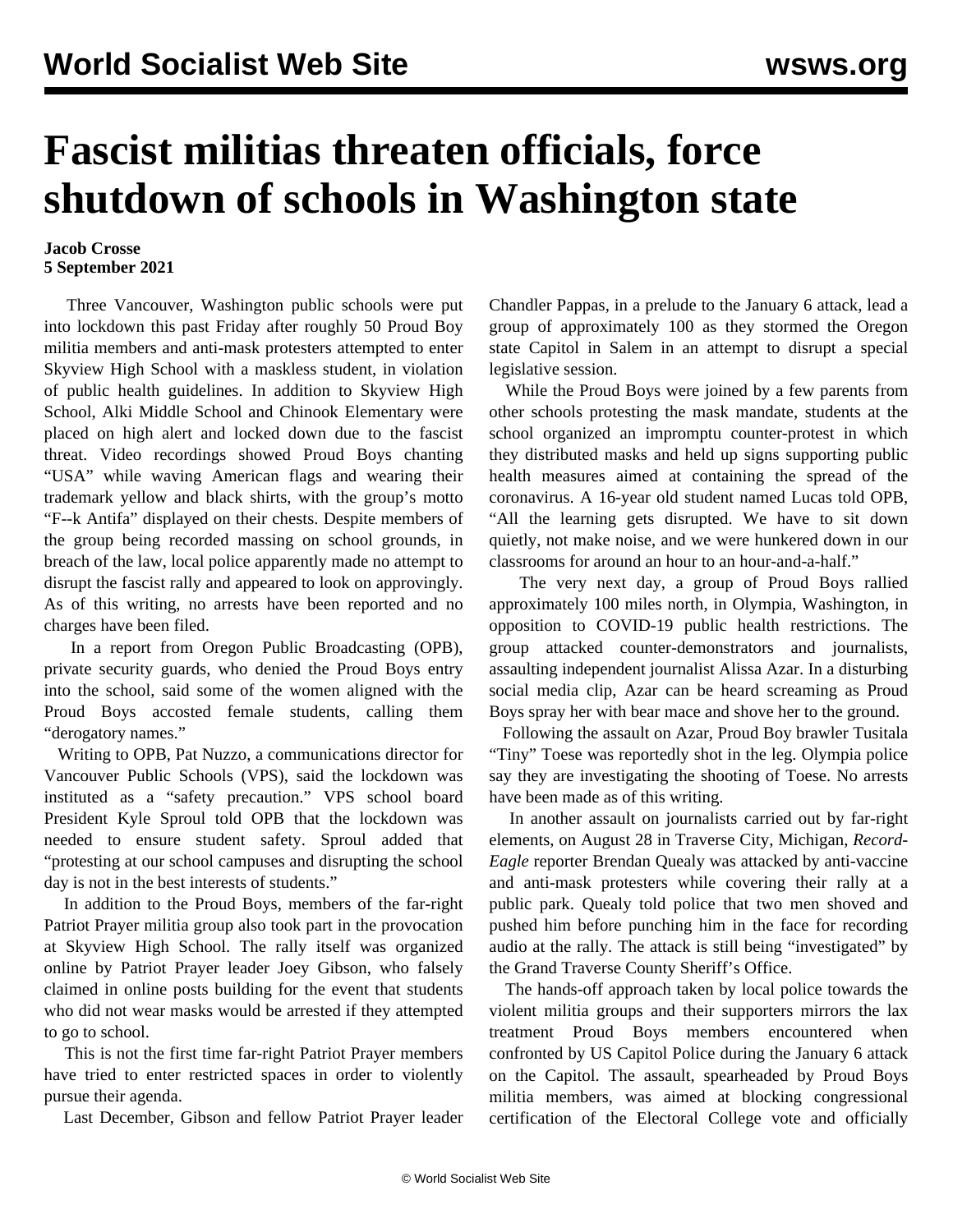## **Fascist militias threaten officials, force shutdown of schools in Washington state**

## **Jacob Crosse 5 September 2021**

 Three Vancouver, Washington public schools were put into lockdown this past Friday after roughly 50 Proud Boy militia members and anti-mask protesters attempted to enter Skyview High School with a maskless student, in violation of public health guidelines. In addition to Skyview High School, Alki Middle School and Chinook Elementary were placed on high alert and locked down due to the fascist threat. [Video recordings](https://twitter.com/RonFilipkowski/status/1433960282418827268?s=19) showed Proud Boys chanting "USA" while waving American flags and wearing their trademark yellow and black shirts, with the group's motto "F--k Antifa" displayed on their chests. Despite members of the group being recorded massing on school grounds, in breach of the law, local police apparently made no attempt to disrupt the fascist rally and appeared to [look on approvingly.](https://twitter.com/NNavyvet/status/1433963767193288706) As of this writing, no arrests have been reported and no charges have been filed.

 In a report from Oregon Public Broadcasting (OPB), private security guards, who denied the Proud Boys entry into the school, said some of the women aligned with the Proud Boys accosted female students, calling them "derogatory names."

 Writing to OPB, Pat Nuzzo, a communications director for Vancouver Public Schools (VPS), said the lockdown was instituted as a "safety precaution." VPS school board President Kyle Sproul told OPB that the lockdown was needed to ensure student safety. Sproul added that "protesting at our school campuses and disrupting the school day is not in the best interests of students."

 In addition to the Proud Boys, members of the far-right Patriot Prayer militia group also took part in the provocation at Skyview High School. The rally itself was organized online by Patriot Prayer leader Joey Gibson, who falsely claimed in online posts building for the event that students who did not wear masks would be arrested if they attempted to go to school.

 This is not the first time far-right Patriot Prayer members have tried to enter restricted spaces in order to violently pursue their agenda.

Last December, Gibson and fellow Patriot Prayer leader

Chandler Pappas, in a prelude to the January 6 attack, lead a group of approximately 100 as they [stormed the Oregon](/en/articles/2020/12/23/sale-d23.html) [state Capitol](/en/articles/2020/12/23/sale-d23.html) in Salem in an attempt to disrupt a special legislative session.

 While the Proud Boys were joined by a few parents from other schools protesting the mask mandate, students at the school organized an impromptu counter-protest in which they distributed masks and held up signs supporting public health measures aimed at containing the spread of the coronavirus. A 16-year old student named Lucas told OPB, "All the learning gets disrupted. We have to sit down quietly, not make noise, and we were hunkered down in our classrooms for around an hour to an hour-and-a-half."

 The very next day, a group of Proud Boys rallied approximately 100 miles north, in Olympia, Washington, in opposition to COVID-19 public health restrictions. The group attacked counter-demonstrators and journalists, assaulting independent journalist Alissa Azar. In a disturbing [social media clip](https://twitter.com/mxtaliajane/status/1434307985359114245), Azar can be heard screaming as Proud Boys spray her with bear mace and shove her to the ground.

 Following the assault on Azar, Proud Boy brawler Tusitala "Tiny" Toese was reportedly shot in the leg. Olympia police say they are investigating the shooting of Toese. No arrests have been made as of this writing.

 In another assault on journalists carried out by far-right elements, on August 28 in Traverse City, Michigan, *Record-Eagle* reporter Brendan Quealy was attacked by anti-vaccine and anti-mask protesters while covering their rally at a public park. Quealy told police that two men shoved and pushed him before punching him in the face for recording audio at the rally. The attack is still being "investigated" by the Grand Traverse County Sheriff's Office.

 The hands-off approach taken by local police towards the violent militia groups and their supporters mirrors the lax treatment Proud Boys members encountered when confronted by US Capitol Police during the January 6 attack on the Capitol. The assault, spearheaded by Proud Boys militia members, was aimed at blocking congressional certification of the Electoral College vote and officially